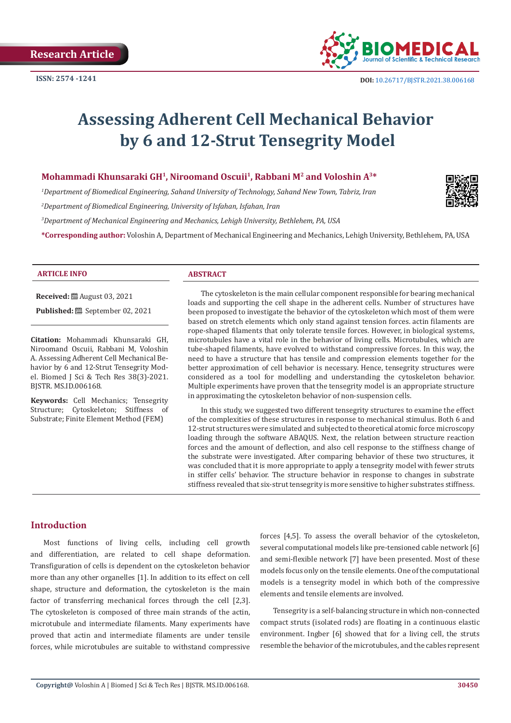

# **Assessing Adherent Cell Mechanical Behavior by 6 and 12-Strut Tensegrity Model**

# **Mohammadi Khunsaraki GH<sup>1</sup>, Niroomand Oscuii<sup>1</sup>, Rabbani M<sup>2</sup> and Voloshin A<sup>3\*</sup>**

*1 Department of Biomedical Engineering, Sahand University of Technology, Sahand New Town, Tabriz, Iran*

*2 Department of Biomedical Engineering, University of Isfahan, Isfahan, Iran*

*3 Department of Mechanical Engineering and Mechanics, Lehigh University, Bethlehem, PA, USA*

**\*Corresponding author:** Voloshin A, Department of Mechanical Engineering and Mechanics, Lehigh University, Bethlehem, PA, USA



#### **ARTICLE INFO ABSTRACT**

**Received:** August 03, 2021

**Published:** September 02, 2021

**Citation:** Mohammadi Khunsaraki GH, Niroomand Oscuii, Rabbani M, Voloshin A. Assessing Adherent Cell Mechanical Behavior by 6 and 12-Strut Tensegrity Model. Biomed J Sci & Tech Res 38(3)-2021. BJSTR. MS.ID.006168.

**Keywords:** Cell Mechanics; Tensegrity Structure; Cytoskeleton; Stiffness of Substrate; Finite Element Method (FEM)

The cytoskeleton is the main cellular component responsible for bearing mechanical loads and supporting the cell shape in the adherent cells. Number of structures have been proposed to investigate the behavior of the cytoskeleton which most of them were based on stretch elements which only stand against tension forces. actin filaments are rope-shaped filaments that only tolerate tensile forces. However, in biological systems, microtubules have a vital role in the behavior of living cells. Microtubules, which are tube-shaped filaments, have evolved to withstand compressive forces. In this way, the need to have a structure that has tensile and compression elements together for the better approximation of cell behavior is necessary. Hence, tensegrity structures were considered as a tool for modelling and understanding the cytoskeleton behavior. Multiple experiments have proven that the tensegrity model is an appropriate structure in approximating the cytoskeleton behavior of non-suspension cells.

In this study, we suggested two different tensegrity structures to examine the effect of the complexities of these structures in response to mechanical stimulus. Both 6 and 12-strut structures were simulated and subjected to theoretical atomic force microscopy loading through the software ABAQUS. Next, the relation between structure reaction forces and the amount of deflection, and also cell response to the stiffness change of the substrate were investigated. After comparing behavior of these two structures, it was concluded that it is more appropriate to apply a tensegrity model with fewer struts in stiffer cells' behavior. The structure behavior in response to changes in substrate stiffness revealed that six-strut tensegrity is more sensitive to higher substrates stiffness.

# **Introduction**

Most functions of living cells, including cell growth and differentiation, are related to cell shape deformation. Transfiguration of cells is dependent on the cytoskeleton behavior more than any other organelles [1]. In addition to its effect on cell shape, structure and deformation, the cytoskeleton is the main factor of transferring mechanical forces through the cell [2,3]. The cytoskeleton is composed of three main strands of the actin, microtubule and intermediate filaments. Many experiments have proved that actin and intermediate filaments are under tensile forces, while microtubules are suitable to withstand compressive

forces [4,5]. To assess the overall behavior of the cytoskeleton, several computational models like pre-tensioned cable network [6] and semi-flexible network [7] have been presented. Most of these models focus only on the tensile elements. One of the computational models is a tensegrity model in which both of the compressive elements and tensile elements are involved.

Tensegrity is a self-balancing structure in which non-connected compact struts (isolated rods) are floating in a continuous elastic environment. Ingber [6] showed that for a living cell, the struts resemble the behavior of the microtubules, and the cables represent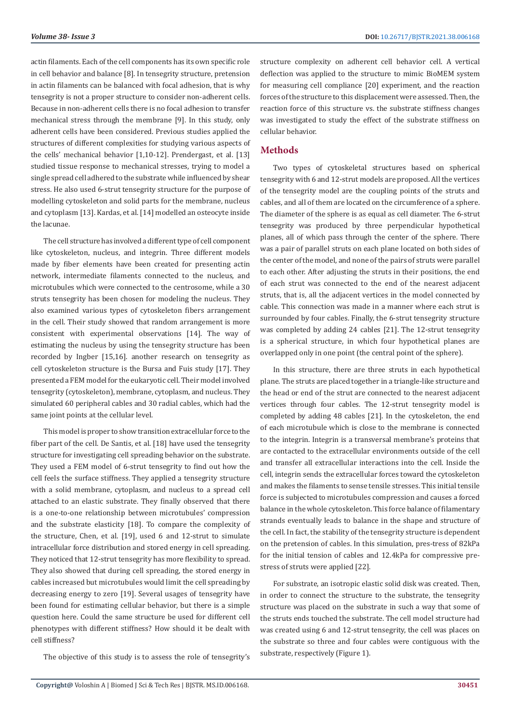actin filaments. Each of the cell components has its own specific role in cell behavior and balance [8]. In tensegrity structure, pretension in actin filaments can be balanced with focal adhesion, that is why tensegrity is not a proper structure to consider non-adherent cells. Because in non-adherent cells there is no focal adhesion to transfer mechanical stress through the membrane [9]. In this study, only adherent cells have been considered. Previous studies applied the structures of different complexities for studying various aspects of the cells' mechanical behavior [1,10-12]. Prendergast, et al. [13] studied tissue response to mechanical stresses, trying to model a single spread cell adhered to the substrate while influenced by shear stress. He also used 6-strut tensegrity structure for the purpose of modelling cytoskeleton and solid parts for the membrane, nucleus and cytoplasm [13]. Kardas, et al. [14] modelled an osteocyte inside the lacunae.

The cell structure has involved a different type of cell component like cytoskeleton, nucleus, and integrin. Three different models made by fiber elements have been created for presenting actin network, intermediate filaments connected to the nucleus, and microtubules which were connected to the centrosome, while a 30 struts tensegrity has been chosen for modeling the nucleus. They also examined various types of cytoskeleton fibers arrangement in the cell. Their study showed that random arrangement is more consistent with experimental observations [14]. The way of estimating the nucleus by using the tensegrity structure has been recorded by Ingber [15,16]. another research on tensegrity as cell cytoskeleton structure is the Bursa and Fuis study [17]. They presented a FEM model for the eukaryotic cell. Their model involved tensegrity (cytoskeleton), membrane, cytoplasm, and nucleus. They simulated 60 peripheral cables and 30 radial cables, which had the same joint points at the cellular level.

This model is proper to show transition extracellular force to the fiber part of the cell. De Santis, et al. [18] have used the tensegrity structure for investigating cell spreading behavior on the substrate. They used a FEM model of 6-strut tensegrity to find out how the cell feels the surface stiffness. They applied a tensegrity structure with a solid membrane, cytoplasm, and nucleus to a spread cell attached to an elastic substrate. They finally observed that there is a one-to-one relationship between microtubules' compression and the substrate elasticity [18]. To compare the complexity of the structure, Chen, et al. [19], used 6 and 12-strut to simulate intracellular force distribution and stored energy in cell spreading. They noticed that 12-strut tensegrity has more flexibility to spread. They also showed that during cell spreading, the stored energy in cables increased but microtubules would limit the cell spreading by decreasing energy to zero [19]. Several usages of tensegrity have been found for estimating cellular behavior, but there is a simple question here. Could the same structure be used for different cell phenotypes with different stiffness? How should it be dealt with cell stiffness?

The objective of this study is to assess the role of tensegrity's

structure complexity on adherent cell behavior cell. A vertical deflection was applied to the structure to mimic BioMEM system for measuring cell compliance [20] experiment, and the reaction forces of the structure to this displacement were assessed. Then, the reaction force of this structure vs. the substrate stiffness changes was investigated to study the effect of the substrate stiffness on cellular behavior.

# **Methods**

Two types of cytoskeletal structures based on spherical tensegrity with 6 and 12-strut models are proposed. All the vertices of the tensegrity model are the coupling points of the struts and cables, and all of them are located on the circumference of a sphere. The diameter of the sphere is as equal as cell diameter. The 6-strut tensegrity was produced by three perpendicular hypothetical planes, all of which pass through the center of the sphere. There was a pair of parallel struts on each plane located on both sides of the center of the model, and none of the pairs of struts were parallel to each other. After adjusting the struts in their positions, the end of each strut was connected to the end of the nearest adjacent struts, that is, all the adjacent vertices in the model connected by cable. This connection was made in a manner where each strut is surrounded by four cables. Finally, the 6-strut tensegrity structure was completed by adding 24 cables [21]. The 12-strut tensegrity is a spherical structure, in which four hypothetical planes are overlapped only in one point (the central point of the sphere).

In this structure, there are three struts in each hypothetical plane. The struts are placed together in a triangle-like structure and the head or end of the strut are connected to the nearest adjacent vertices through four cables. The 12-strut tensegrity model is completed by adding 48 cables [21]. In the cytoskeleton, the end of each microtubule which is close to the membrane is connected to the integrin. Integrin is a transversal membrane's proteins that are contacted to the extracellular environments outside of the cell and transfer all extracellular interactions into the cell. Inside the cell, integrin sends the extracellular forces toward the cytoskeleton and makes the filaments to sense tensile stresses. This initial tensile force is subjected to microtubules compression and causes a forced balance in the whole cytoskeleton. This force balance of filamentary strands eventually leads to balance in the shape and structure of the cell. In fact, the stability of the tensegrity structure is dependent on the pretension of cables. In this simulation, pres-tress of 82kPa for the initial tension of cables and 12.4kPa for compressive prestress of struts were applied [22].

For substrate, an isotropic elastic solid disk was created. Then, in order to connect the structure to the substrate, the tensegrity structure was placed on the substrate in such a way that some of the struts ends touched the substrate. The cell model structure had was created using 6 and 12-strut tensegrity, the cell was places on the substrate so three and four cables were contiguous with the substrate, respectively (Figure 1).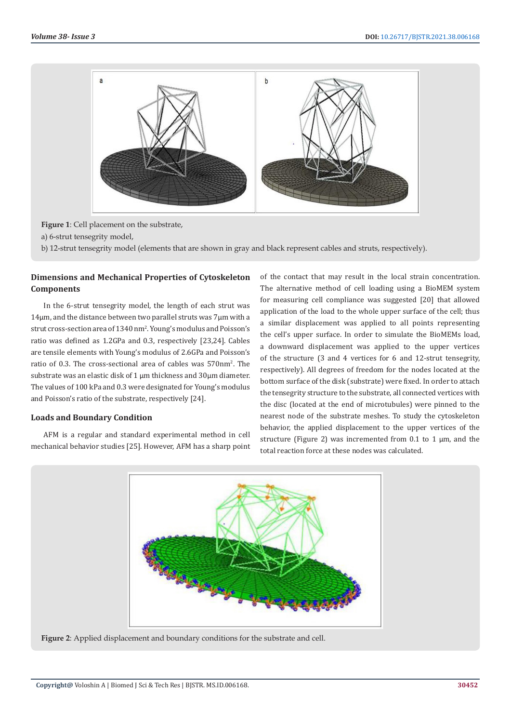

**Figure 1**: Cell placement on the substrate,

a) 6-strut tensegrity model,

b) 12-strut tensegrity model (elements that are shown in gray and black represent cables and struts, respectively).

# **Dimensions and Mechanical Properties of Cytoskeleton Components**

In the 6-strut tensegrity model, the length of each strut was 14µm, and the distance between two parallel struts was 7µm with a strut cross-section area of 1340 nm2 . Young's modulus and Poisson's ratio was defined as 1.2GPa and 0.3, respectively [23,24]. Cables are tensile elements with Young's modulus of 2.6GPa and Poisson's ratio of 0.3. The cross-sectional area of cables was 570nm2 . The substrate was an elastic disk of 1 µm thickness and 30µm diameter. The values of 100 kPa and 0.3 were designated for Young's modulus and Poisson's ratio of the substrate, respectively [24].

## **Loads and Boundary Condition**

AFM is a regular and standard experimental method in cell mechanical behavior studies [25]. However, AFM has a sharp point of the contact that may result in the local strain concentration. The alternative method of cell loading using a BioMEM system for measuring cell compliance was suggested [20] that allowed application of the load to the whole upper surface of the cell; thus a similar displacement was applied to all points representing the cell's upper surface. In order to simulate the BioMEMs load, a downward displacement was applied to the upper vertices of the structure (3 and 4 vertices for 6 and 12-strut tensegrity, respectively). All degrees of freedom for the nodes located at the bottom surface of the disk (substrate) were fixed. In order to attach the tensegrity structure to the substrate, all connected vertices with the disc (located at the end of microtubules) were pinned to the nearest node of the substrate meshes. To study the cytoskeleton behavior, the applied displacement to the upper vertices of the structure (Figure 2) was incremented from  $0.1$  to 1  $\mu$ m, and the total reaction force at these nodes was calculated.



**Figure 2**: Applied displacement and boundary conditions for the substrate and cell.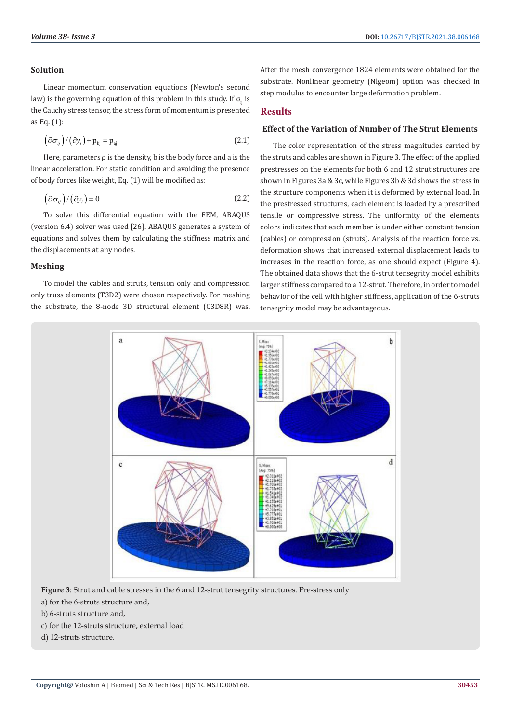#### **Solution**

Linear momentum conservation equations (Newton's second law) is the governing equation of this problem in this study. If  $\sigma_{ii}$  is the Cauchy stress tensor, the stress form of momentum is presented as Eq. (1):

$$
(\partial \sigma_{ij})/(\partial y_i) + \mathbf{p}_{bj} = \mathbf{p}_{aj}
$$
 (2.1)

Here, parameters  $\rho$  is the density, b is the body force and a is the linear acceleration. For static condition and avoiding the presence of body forces like weight, Eq. (1) will be modified as:

$$
\left(\partial\sigma_{ij}\right)/\left(\partial y_i\right) = 0\tag{2.2}
$$

To solve this differential equation with the FEM, ABAQUS (version 6.4) solver was used [26]. ABAQUS generates a system of equations and solves them by calculating the stiffness matrix and the displacements at any nodes.

#### **Meshing**

To model the cables and struts, tension only and compression only truss elements (T3D2) were chosen respectively. For meshing the substrate, the 8-node 3D structural element (C3D8R) was.

After the mesh convergence 1824 elements were obtained for the substrate. Nonlinear geometry (Nlgeom) option was checked in step modulus to encounter large deformation problem.

# **Results**

#### **Effect of the Variation of Number of The Strut Elements**

The color representation of the stress magnitudes carried by the struts and cables are shown in Figure 3. The effect of the applied prestresses on the elements for both 6 and 12 strut structures are shown in Figures 3a & 3c, while Figures 3b & 3d shows the stress in the structure components when it is deformed by external load. In the prestressed structures, each element is loaded by a prescribed tensile or compressive stress. The uniformity of the elements colors indicates that each member is under either constant tension (cables) or compression (struts). Analysis of the reaction force vs. deformation shows that increased external displacement leads to increases in the reaction force, as one should expect (Figure 4). The obtained data shows that the 6-strut tensegrity model exhibits larger stiffness compared to a 12-strut. Therefore, in order to model behavior of the cell with higher stiffness, application of the 6-struts tensegrity model may be advantageous.



**Figure 3**: Strut and cable stresses in the 6 and 12-strut tensegrity structures. Pre-stress only

- a) for the 6-struts structure and,
- b) 6-struts structure and,
- c) for the 12-struts structure, external load
- d) 12-struts structure.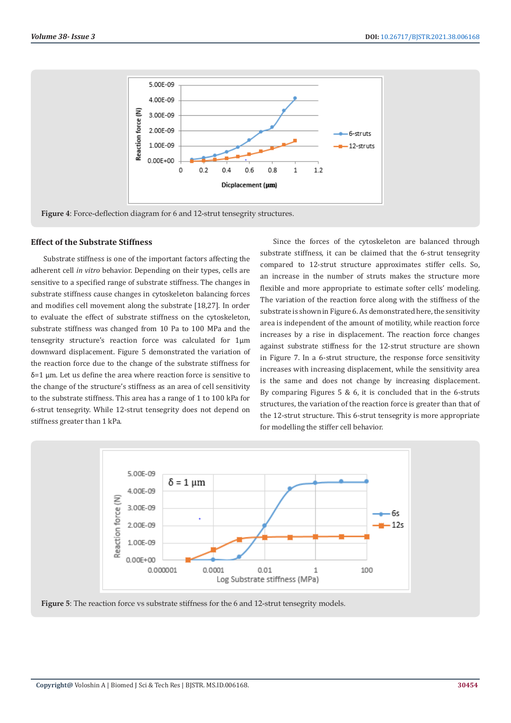

# **Effect of the Substrate Stiffness**

Substrate stiffness is one of the important factors affecting the adherent cell *in vitro* behavior. Depending on their types, cells are sensitive to a specified range of substrate stiffness. The changes in substrate stiffness cause changes in cytoskeleton balancing forces and modifies cell movement along the substrate [18,27]. In order to evaluate the effect of substrate stiffness on the cytoskeleton, substrate stiffness was changed from 10 Pa to 100 MPa and the tensegrity structure's reaction force was calculated for 1µm downward displacement. Figure 5 demonstrated the variation of the reaction force due to the change of the substrate stiffness for δ=1 μm. Let us define the area where reaction force is sensitive to the change of the structure's stiffness as an area of cell sensitivity to the substrate stiffness. This area has a range of 1 to 100 kPa for 6-strut tensegrity. While 12-strut tensegrity does not depend on stiffness greater than 1 kPa.

Since the forces of the cytoskeleton are balanced through substrate stiffness, it can be claimed that the 6-strut tensegrity compared to 12-strut structure approximates stiffer cells. So, an increase in the number of struts makes the structure more flexible and more appropriate to estimate softer cells' modeling. The variation of the reaction force along with the stiffness of the substrate is shown in Figure 6. As demonstrated here, the sensitivity area is independent of the amount of motility, while reaction force increases by a rise in displacement. The reaction force changes against substrate stiffness for the 12-strut structure are shown in Figure 7. In a 6-strut structure, the response force sensitivity increases with increasing displacement, while the sensitivity area is the same and does not change by increasing displacement. By comparing Figures 5 & 6, it is concluded that in the 6-struts structures, the variation of the reaction force is greater than that of the 12-strut structure. This 6-strut tensegrity is more appropriate for modelling the stiffer cell behavior.



Figure 5: The reaction force vs substrate stiffness for the 6 and 12-strut tensegrity models.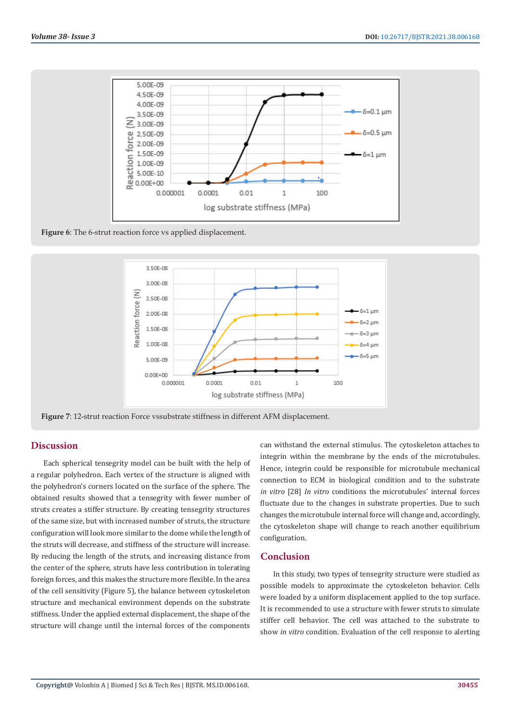

**Figure 6**: The 6-strut reaction force vs applied displacement.



**Figure 7**: 12-strut reaction Force vssubstrate stiffness in different AFM displacement.

# **Discussion**

Each spherical tensegrity model can be built with the help of a regular polyhedron. Each vertex of the structure is aligned with the polyhedron's corners located on the surface of the sphere. The obtained results showed that a tensegrity with fewer number of struts creates a stiffer structure. By creating tensegrity structures of the same size, but with increased number of struts, the structure configuration will look more similar to the dome while the length of the struts will decrease, and stiffness of the structure will increase. By reducing the length of the struts, and increasing distance from the center of the sphere, struts have less contribution in tolerating foreign forces, and this makes the structure more flexible. In the area of the cell sensitivity (Figure 5), the balance between cytoskeleton structure and mechanical environment depends on the substrate stiffness. Under the applied external displacement, the shape of the structure will change until the internal forces of the components

can withstand the external stimulus. The cytoskeleton attaches to integrin within the membrane by the ends of the microtubules. Hence, integrin could be responsible for microtubule mechanical connection to ECM in biological condition and to the substrate *in vitro* [28] *In vitro* conditions the microtubules' internal forces fluctuate due to the changes in substrate properties. Due to such changes the microtubule internal force will change and, accordingly, the cytoskeleton shape will change to reach another equilibrium configuration.

#### **Conclusion**

In this study, two types of tensegrity structure were studied as possible models to approximate the cytoskeleton behavior. Cells were loaded by a uniform displacement applied to the top surface. It is recommended to use a structure with fewer struts to simulate stiffer cell behavior. The cell was attached to the substrate to show *in vitro* condition. Evaluation of the cell response to alerting